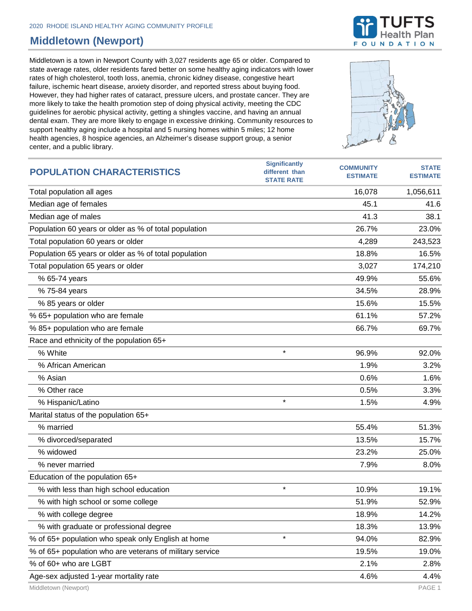## **Middletown (Newport)**

Middletown is a town in Newport County with 3,027 residents age 65 or older. Compared to state average rates, older residents fared better on some healthy aging indicators with lower rates of high cholesterol, tooth loss, anemia, chronic kidney disease, congestive heart failure, ischemic heart disease, anxiety disorder, and reported stress about buying food. However, they had higher rates of cataract, pressure ulcers, and prostate cancer. They are more likely to take the health promotion step of doing physical activity, meeting the CDC guidelines for aerobic physical activity, getting a shingles vaccine, and having an annual dental exam. They are more likely to engage in excessive drinking. Community resources to support healthy aging include a hospital and 5 nursing homes within 5 miles; 12 home health agencies, 8 hospice agencies, an Alzheimer's disease support group, a senior center, and a public library.

| <b>POPULATION CHARACTERISTICS</b>                        | əlgililitalitiy<br>different than<br><b>STATE RATE</b> | <b>COMMUNITY</b><br><b>ESTIMATE</b> | <b>STATE</b><br><b>ESTIMATE</b> |
|----------------------------------------------------------|--------------------------------------------------------|-------------------------------------|---------------------------------|
| Total population all ages                                |                                                        | 16,078                              | 1,056,611                       |
| Median age of females                                    |                                                        | 45.1                                | 41.6                            |
| Median age of males                                      |                                                        | 41.3                                | 38.1                            |
| Population 60 years or older as % of total population    |                                                        | 26.7%                               | 23.0%                           |
| Total population 60 years or older                       |                                                        | 4,289                               | 243,523                         |
| Population 65 years or older as % of total population    |                                                        | 18.8%                               | 16.5%                           |
| Total population 65 years or older                       |                                                        | 3,027                               | 174,210                         |
| % 65-74 years                                            |                                                        | 49.9%                               | 55.6%                           |
| % 75-84 years                                            |                                                        | 34.5%                               | 28.9%                           |
| % 85 years or older                                      |                                                        | 15.6%                               | 15.5%                           |
| % 65+ population who are female                          |                                                        | 61.1%                               | 57.2%                           |
| % 85+ population who are female                          |                                                        | 66.7%                               | 69.7%                           |
| Race and ethnicity of the population 65+                 |                                                        |                                     |                                 |
| % White                                                  | $\star$                                                | 96.9%                               | 92.0%                           |
| % African American                                       |                                                        | 1.9%                                | 3.2%                            |
| % Asian                                                  |                                                        | 0.6%                                | 1.6%                            |
| % Other race                                             |                                                        | 0.5%                                | 3.3%                            |
| % Hispanic/Latino                                        | $\star$                                                | 1.5%                                | 4.9%                            |
| Marital status of the population 65+                     |                                                        |                                     |                                 |
| % married                                                |                                                        | 55.4%                               | 51.3%                           |
| % divorced/separated                                     |                                                        | 13.5%                               | 15.7%                           |
| % widowed                                                |                                                        | 23.2%                               | 25.0%                           |
| % never married                                          |                                                        | 7.9%                                | 8.0%                            |
| Education of the population 65+                          |                                                        |                                     |                                 |
| % with less than high school education                   | $\star$                                                | 10.9%                               | 19.1%                           |
| % with high school or some college                       |                                                        | 51.9%                               | 52.9%                           |
| % with college degree                                    |                                                        | 18.9%                               | 14.2%                           |
| % with graduate or professional degree                   |                                                        | 18.3%                               | 13.9%                           |
| % of 65+ population who speak only English at home       | $\star$                                                | 94.0%                               | 82.9%                           |
| % of 65+ population who are veterans of military service |                                                        | 19.5%                               | 19.0%                           |
| % of 60+ who are LGBT                                    |                                                        | 2.1%                                | 2.8%                            |
| Age-sex adjusted 1-year mortality rate                   |                                                        | 4.6%                                | 4.4%                            |

**Significantly** 



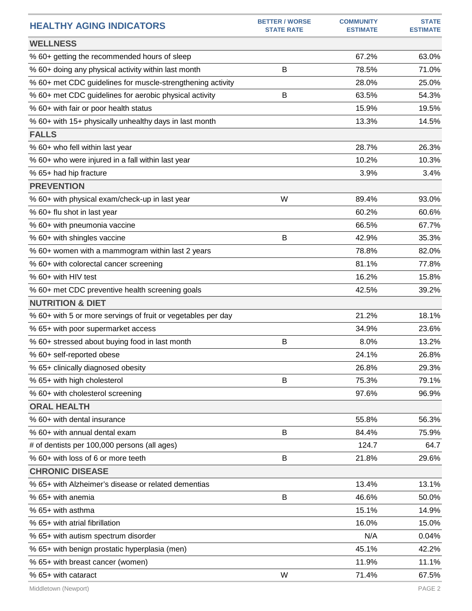| <b>HEALTHY AGING INDICATORS</b>                              | <b>BETTER / WORSE</b><br><b>STATE RATE</b> | <b>COMMUNITY</b><br><b>ESTIMATE</b> | <b>STATE</b><br><b>ESTIMATE</b> |
|--------------------------------------------------------------|--------------------------------------------|-------------------------------------|---------------------------------|
| <b>WELLNESS</b>                                              |                                            |                                     |                                 |
| % 60+ getting the recommended hours of sleep                 |                                            | 67.2%                               | 63.0%                           |
| % 60+ doing any physical activity within last month          | B                                          | 78.5%                               | 71.0%                           |
| % 60+ met CDC guidelines for muscle-strengthening activity   |                                            | 28.0%                               | 25.0%                           |
| % 60+ met CDC guidelines for aerobic physical activity       | B                                          | 63.5%                               | 54.3%                           |
| % 60+ with fair or poor health status                        |                                            | 15.9%                               | 19.5%                           |
| % 60+ with 15+ physically unhealthy days in last month       |                                            | 13.3%                               | 14.5%                           |
| <b>FALLS</b>                                                 |                                            |                                     |                                 |
| % 60+ who fell within last year                              |                                            | 28.7%                               | 26.3%                           |
| % 60+ who were injured in a fall within last year            |                                            | 10.2%                               | 10.3%                           |
| % 65+ had hip fracture                                       |                                            | 3.9%                                | 3.4%                            |
| <b>PREVENTION</b>                                            |                                            |                                     |                                 |
| % 60+ with physical exam/check-up in last year               | W                                          | 89.4%                               | 93.0%                           |
| % 60+ flu shot in last year                                  |                                            | 60.2%                               | 60.6%                           |
| % 60+ with pneumonia vaccine                                 |                                            | 66.5%                               | 67.7%                           |
| % 60+ with shingles vaccine                                  | В                                          | 42.9%                               | 35.3%                           |
| % 60+ women with a mammogram within last 2 years             |                                            | 78.8%                               | 82.0%                           |
| % 60+ with colorectal cancer screening                       |                                            | 81.1%                               | 77.8%                           |
| % 60+ with HIV test                                          |                                            | 16.2%                               | 15.8%                           |
| % 60+ met CDC preventive health screening goals              |                                            | 42.5%                               | 39.2%                           |
| <b>NUTRITION &amp; DIET</b>                                  |                                            |                                     |                                 |
| % 60+ with 5 or more servings of fruit or vegetables per day |                                            | 21.2%                               | 18.1%                           |
| % 65+ with poor supermarket access                           |                                            | 34.9%                               | 23.6%                           |
| % 60+ stressed about buying food in last month               | B                                          | 8.0%                                | 13.2%                           |
| % 60+ self-reported obese                                    |                                            | 24.1%                               | 26.8%                           |
| % 65+ clinically diagnosed obesity                           |                                            | 26.8%                               | 29.3%                           |
| % 65+ with high cholesterol                                  | B                                          | 75.3%                               | 79.1%                           |
| % 60+ with cholesterol screening                             |                                            | 97.6%                               | 96.9%                           |
| <b>ORAL HEALTH</b>                                           |                                            |                                     |                                 |
| % 60+ with dental insurance                                  |                                            | 55.8%                               | 56.3%                           |
| % 60+ with annual dental exam                                | В                                          | 84.4%                               | 75.9%                           |
| # of dentists per 100,000 persons (all ages)                 |                                            | 124.7                               | 64.7                            |
| % 60+ with loss of 6 or more teeth                           | B                                          | 21.8%                               | 29.6%                           |
| <b>CHRONIC DISEASE</b>                                       |                                            |                                     |                                 |
| % 65+ with Alzheimer's disease or related dementias          |                                            | 13.4%                               | 13.1%                           |
| % 65+ with anemia                                            | Β                                          | 46.6%                               | 50.0%                           |
| % 65+ with asthma                                            |                                            | 15.1%                               | 14.9%                           |
| % 65+ with atrial fibrillation                               |                                            | 16.0%                               | 15.0%                           |
| % 65+ with autism spectrum disorder                          |                                            | N/A                                 | 0.04%                           |
| % 65+ with benign prostatic hyperplasia (men)                |                                            | 45.1%                               | 42.2%                           |
| % 65+ with breast cancer (women)                             |                                            | 11.9%                               | 11.1%                           |
| % 65+ with cataract                                          | W                                          | 71.4%                               | 67.5%                           |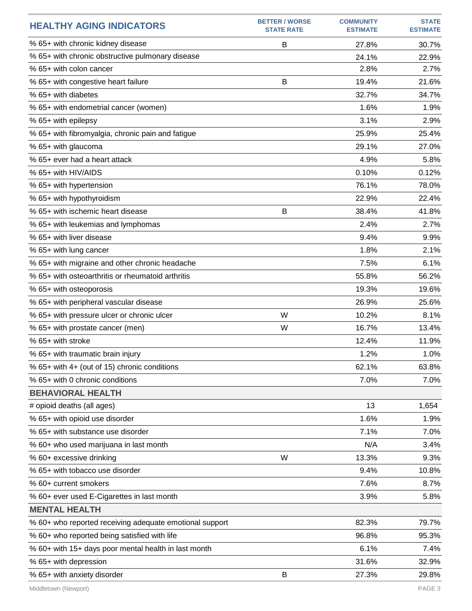| <b>HEALTHY AGING INDICATORS</b>                         | <b>BETTER / WORSE</b><br><b>STATE RATE</b> | <b>COMMUNITY</b><br><b>ESTIMATE</b> | <b>STATE</b><br><b>ESTIMATE</b> |
|---------------------------------------------------------|--------------------------------------------|-------------------------------------|---------------------------------|
| % 65+ with chronic kidney disease                       | B                                          | 27.8%                               | 30.7%                           |
| % 65+ with chronic obstructive pulmonary disease        |                                            | 24.1%                               | 22.9%                           |
| % 65+ with colon cancer                                 |                                            | 2.8%                                | 2.7%                            |
| % 65+ with congestive heart failure                     | B                                          | 19.4%                               | 21.6%                           |
| % 65+ with diabetes                                     |                                            | 32.7%                               | 34.7%                           |
| % 65+ with endometrial cancer (women)                   |                                            | 1.6%                                | 1.9%                            |
| % 65+ with epilepsy                                     |                                            | 3.1%                                | 2.9%                            |
| % 65+ with fibromyalgia, chronic pain and fatigue       |                                            | 25.9%                               | 25.4%                           |
| % 65+ with glaucoma                                     |                                            | 29.1%                               | 27.0%                           |
| % 65+ ever had a heart attack                           |                                            | 4.9%                                | 5.8%                            |
| % 65+ with HIV/AIDS                                     |                                            | 0.10%                               | 0.12%                           |
| % 65+ with hypertension                                 |                                            | 76.1%                               | 78.0%                           |
| % 65+ with hypothyroidism                               |                                            | 22.9%                               | 22.4%                           |
| % 65+ with ischemic heart disease                       | B                                          | 38.4%                               | 41.8%                           |
| % 65+ with leukemias and lymphomas                      |                                            | 2.4%                                | 2.7%                            |
| % 65+ with liver disease                                |                                            | 9.4%                                | 9.9%                            |
| % 65+ with lung cancer                                  |                                            | 1.8%                                | 2.1%                            |
| % 65+ with migraine and other chronic headache          |                                            | 7.5%                                | 6.1%                            |
| % 65+ with osteoarthritis or rheumatoid arthritis       |                                            | 55.8%                               | 56.2%                           |
| % 65+ with osteoporosis                                 |                                            | 19.3%                               | 19.6%                           |
| % 65+ with peripheral vascular disease                  |                                            | 26.9%                               | 25.6%                           |
| % 65+ with pressure ulcer or chronic ulcer              | W                                          | 10.2%                               | 8.1%                            |
| % 65+ with prostate cancer (men)                        | W                                          | 16.7%                               | 13.4%                           |
| % 65+ with stroke                                       |                                            | 12.4%                               | 11.9%                           |
| % 65+ with traumatic brain injury                       |                                            | 1.2%                                | 1.0%                            |
| % 65+ with 4+ (out of 15) chronic conditions            |                                            | 62.1%                               | 63.8%                           |
| % 65+ with 0 chronic conditions                         |                                            | 7.0%                                | 7.0%                            |
| <b>BEHAVIORAL HEALTH</b>                                |                                            |                                     |                                 |
| # opioid deaths (all ages)                              |                                            | 13                                  | 1,654                           |
| % 65+ with opioid use disorder                          |                                            | 1.6%                                | 1.9%                            |
| % 65+ with substance use disorder                       |                                            | 7.1%                                | 7.0%                            |
| % 60+ who used marijuana in last month                  |                                            | N/A                                 | 3.4%                            |
| % 60+ excessive drinking                                | W                                          | 13.3%                               | 9.3%                            |
| % 65+ with tobacco use disorder                         |                                            | 9.4%                                | 10.8%                           |
| % 60+ current smokers                                   |                                            | 7.6%                                | 8.7%                            |
| % 60+ ever used E-Cigarettes in last month              |                                            | 3.9%                                | 5.8%                            |
| <b>MENTAL HEALTH</b>                                    |                                            |                                     |                                 |
| % 60+ who reported receiving adequate emotional support |                                            | 82.3%                               | 79.7%                           |
| % 60+ who reported being satisfied with life            |                                            | 96.8%                               | 95.3%                           |
| % 60+ with 15+ days poor mental health in last month    |                                            | 6.1%                                | 7.4%                            |
| % 65+ with depression                                   |                                            | 31.6%                               | 32.9%                           |
| % 65+ with anxiety disorder                             | B                                          | 27.3%                               | 29.8%                           |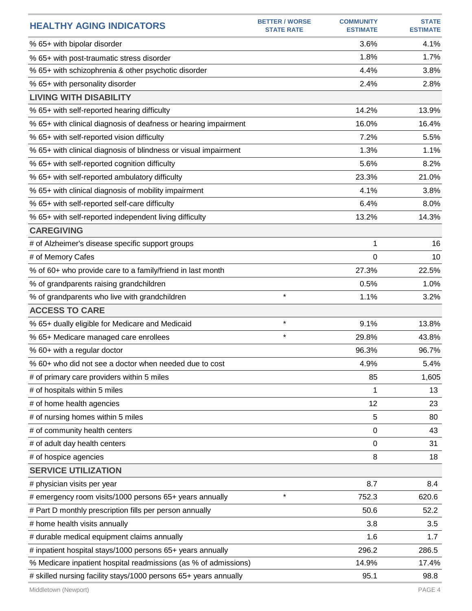| <b>HEALTHY AGING INDICATORS</b>                                  | <b>BETTER / WORSE</b><br><b>STATE RATE</b> | <b>COMMUNITY</b><br><b>ESTIMATE</b> | <b>STATE</b><br><b>ESTIMATE</b> |
|------------------------------------------------------------------|--------------------------------------------|-------------------------------------|---------------------------------|
| % 65+ with bipolar disorder                                      |                                            | 3.6%                                | 4.1%                            |
| % 65+ with post-traumatic stress disorder                        |                                            | 1.8%                                | 1.7%                            |
| % 65+ with schizophrenia & other psychotic disorder              |                                            | 4.4%                                | 3.8%                            |
| % 65+ with personality disorder                                  |                                            | 2.4%                                | 2.8%                            |
| <b>LIVING WITH DISABILITY</b>                                    |                                            |                                     |                                 |
| % 65+ with self-reported hearing difficulty                      |                                            | 14.2%                               | 13.9%                           |
| % 65+ with clinical diagnosis of deafness or hearing impairment  |                                            | 16.0%                               | 16.4%                           |
| % 65+ with self-reported vision difficulty                       |                                            | 7.2%                                | 5.5%                            |
| % 65+ with clinical diagnosis of blindness or visual impairment  |                                            | 1.3%                                | 1.1%                            |
| % 65+ with self-reported cognition difficulty                    |                                            | 5.6%                                | 8.2%                            |
| % 65+ with self-reported ambulatory difficulty                   |                                            | 23.3%                               | 21.0%                           |
| % 65+ with clinical diagnosis of mobility impairment             |                                            | 4.1%                                | 3.8%                            |
| % 65+ with self-reported self-care difficulty                    |                                            | 6.4%                                | 8.0%                            |
| % 65+ with self-reported independent living difficulty           |                                            | 13.2%                               | 14.3%                           |
| <b>CAREGIVING</b>                                                |                                            |                                     |                                 |
| # of Alzheimer's disease specific support groups                 |                                            | 1                                   | 16                              |
| # of Memory Cafes                                                |                                            | 0                                   | 10                              |
| % of 60+ who provide care to a family/friend in last month       |                                            | 27.3%                               | 22.5%                           |
| % of grandparents raising grandchildren                          |                                            | 0.5%                                | 1.0%                            |
| % of grandparents who live with grandchildren                    | $\star$                                    | 1.1%                                | 3.2%                            |
| <b>ACCESS TO CARE</b>                                            |                                            |                                     |                                 |
| % 65+ dually eligible for Medicare and Medicaid                  | $\star$                                    | 9.1%                                | 13.8%                           |
| % 65+ Medicare managed care enrollees                            | $\star$                                    | 29.8%                               | 43.8%                           |
| % 60+ with a regular doctor                                      |                                            | 96.3%                               | 96.7%                           |
| % 60+ who did not see a doctor when needed due to cost           |                                            | 4.9%                                | 5.4%                            |
| # of primary care providers within 5 miles                       |                                            | 85                                  | 1,605                           |
| # of hospitals within 5 miles                                    |                                            | 1                                   | 13                              |
| # of home health agencies                                        |                                            | 12                                  | 23                              |
| # of nursing homes within 5 miles                                |                                            | 5                                   | 80                              |
| # of community health centers                                    |                                            | $\mathbf 0$                         | 43                              |
| # of adult day health centers                                    |                                            | 0                                   | 31                              |
| # of hospice agencies                                            |                                            | 8                                   | 18                              |
| <b>SERVICE UTILIZATION</b>                                       |                                            |                                     |                                 |
| # physician visits per year                                      |                                            | 8.7                                 | 8.4                             |
| # emergency room visits/1000 persons 65+ years annually          | $\star$                                    | 752.3                               | 620.6                           |
| # Part D monthly prescription fills per person annually          |                                            | 50.6                                | 52.2                            |
| # home health visits annually                                    |                                            | 3.8                                 | 3.5                             |
| # durable medical equipment claims annually                      |                                            | 1.6                                 | 1.7                             |
| # inpatient hospital stays/1000 persons 65+ years annually       |                                            | 296.2                               | 286.5                           |
| % Medicare inpatient hospital readmissions (as % of admissions)  |                                            | 14.9%                               | 17.4%                           |
| # skilled nursing facility stays/1000 persons 65+ years annually |                                            | 95.1                                | 98.8                            |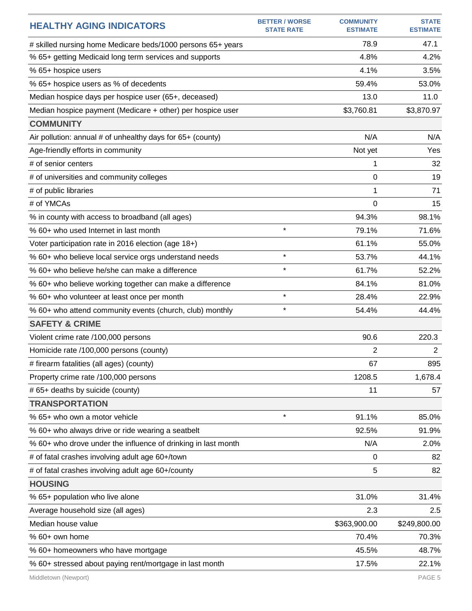| <b>HEALTHY AGING INDICATORS</b>                               | <b>BETTER / WORSE</b><br><b>STATE RATE</b> | <b>COMMUNITY</b><br><b>ESTIMATE</b> | <b>STATE</b><br><b>ESTIMATE</b> |
|---------------------------------------------------------------|--------------------------------------------|-------------------------------------|---------------------------------|
| # skilled nursing home Medicare beds/1000 persons 65+ years   |                                            | 78.9                                | 47.1                            |
| % 65+ getting Medicaid long term services and supports        |                                            | 4.8%                                | 4.2%                            |
| % 65+ hospice users                                           |                                            | 4.1%                                | 3.5%                            |
| % 65+ hospice users as % of decedents                         |                                            | 59.4%                               | 53.0%                           |
| Median hospice days per hospice user (65+, deceased)          |                                            | 13.0                                | 11.0                            |
| Median hospice payment (Medicare + other) per hospice user    |                                            | \$3,760.81                          | \$3,870.97                      |
| <b>COMMUNITY</b>                                              |                                            |                                     |                                 |
| Air pollution: annual # of unhealthy days for 65+ (county)    |                                            | N/A                                 | N/A                             |
| Age-friendly efforts in community                             |                                            | Not yet                             | Yes                             |
| # of senior centers                                           |                                            | 1                                   | 32                              |
| # of universities and community colleges                      |                                            | 0                                   | 19                              |
| # of public libraries                                         |                                            | 1                                   | 71                              |
| # of YMCAs                                                    |                                            | $\Omega$                            | 15                              |
| % in county with access to broadband (all ages)               |                                            | 94.3%                               | 98.1%                           |
| % 60+ who used Internet in last month                         | $\star$                                    | 79.1%                               | 71.6%                           |
| Voter participation rate in 2016 election (age 18+)           |                                            | 61.1%                               | 55.0%                           |
| % 60+ who believe local service orgs understand needs         | $\star$                                    | 53.7%                               | 44.1%                           |
| % 60+ who believe he/she can make a difference                | $\star$                                    | 61.7%                               | 52.2%                           |
| % 60+ who believe working together can make a difference      |                                            | 84.1%                               | 81.0%                           |
| % 60+ who volunteer at least once per month                   | $\star$                                    | 28.4%                               | 22.9%                           |
| % 60+ who attend community events (church, club) monthly      | $\star$                                    | 54.4%                               | 44.4%                           |
| <b>SAFETY &amp; CRIME</b>                                     |                                            |                                     |                                 |
| Violent crime rate /100,000 persons                           |                                            | 90.6                                | 220.3                           |
| Homicide rate /100,000 persons (county)                       |                                            | 2                                   | $\overline{2}$                  |
| # firearm fatalities (all ages) (county)                      |                                            | 67                                  | 895                             |
| Property crime rate /100,000 persons                          |                                            | 1208.5                              | 1,678.4                         |
| # 65+ deaths by suicide (county)                              |                                            | 11                                  | 57                              |
| <b>TRANSPORTATION</b>                                         |                                            |                                     |                                 |
| % 65+ who own a motor vehicle                                 | $\star$                                    | 91.1%                               | 85.0%                           |
| % 60+ who always drive or ride wearing a seatbelt             |                                            | 92.5%                               | 91.9%                           |
| % 60+ who drove under the influence of drinking in last month |                                            | N/A                                 | 2.0%                            |
| # of fatal crashes involving adult age 60+/town               |                                            | 0                                   | 82                              |
| # of fatal crashes involving adult age 60+/county             |                                            | 5                                   | 82                              |
| <b>HOUSING</b>                                                |                                            |                                     |                                 |
| % 65+ population who live alone                               |                                            | 31.0%                               | 31.4%                           |
| Average household size (all ages)                             |                                            | 2.3                                 | 2.5                             |
| Median house value                                            |                                            | \$363,900.00                        | \$249,800.00                    |
| % 60+ own home                                                |                                            | 70.4%                               | 70.3%                           |
| % 60+ homeowners who have mortgage                            |                                            | 45.5%                               | 48.7%                           |
| % 60+ stressed about paying rent/mortgage in last month       |                                            | 17.5%                               | 22.1%                           |